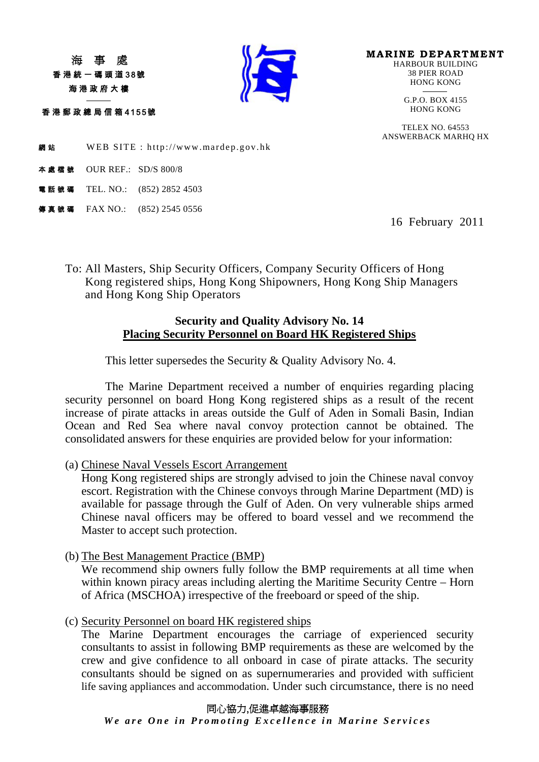香港統一碼頭道38號 海港政府大樓

香港郵政總局信箱 4155號

j



**MARINE DEPARTMENT**<br>HARBOUR BUILDING 38 PIER ROAD HONG KONG

> -G.P.O. BOX 4155<br>HONG KONG

TELEX NO. 64553 ANSWERBACK MARHQ HX

網站 WEB SITE : http://www.mardep.gov.hk

- 本處檔號 OUR REF.: SD/S 800/8
- 電話號碼 TEL. NO.: (852) 2852 4503
- 傳真號碼 FAX NO.: (852) 2545 0556

16 February 2011

To: All Masters, Ship Security Officers, Company Security Officers of Hong Kong registered ships, Hong Kong Shipowners, Hong Kong Ship Managers and Hong Kong Ship Operators

## **Security and Quality Advisory No. 14 Placing Security Personnel on Board HK Registered Ships**

This letter supersedes the Security & Quality Advisory No. 4.

The Marine Department received a number of enquiries regarding placing security personnel on board Hong Kong registered ships as a result of the recent increase of pirate attacks in areas outside the Gulf of Aden in Somali Basin, Indian Ocean and Red Sea where naval convoy protection cannot be obtained. The consolidated answers for these enquiries are provided below for your information:

(a) Chinese Naval Vessels Escort Arrangement

Hong Kong registered ships are strongly advised to join the Chinese naval convoy escort. Registration with the Chinese convoys through Marine Department (MD) is available for passage through the Gulf of Aden. On very vulnerable ships armed Chinese naval officers may be offered to board vessel and we recommend the Master to accept such protection.

(b) The Best Management Practice (BMP)

We recommend ship owners fully follow the BMP requirements at all time when within known piracy areas including alerting the Maritime Security Centre – Horn of Africa (MSCHOA) irrespective of the freeboard or speed of the ship.

(c) Security Personnel on board HK registered ships

The Marine Department encourages the carriage of experienced security consultants to assist in following BMP requirements as these are welcomed by the crew and give confidence to all onboard in case of pirate attacks. The security consultants should be signed on as supernumeraries and provided with sufficient life saving appliances and accommodation. Under such circumstance, there is no need